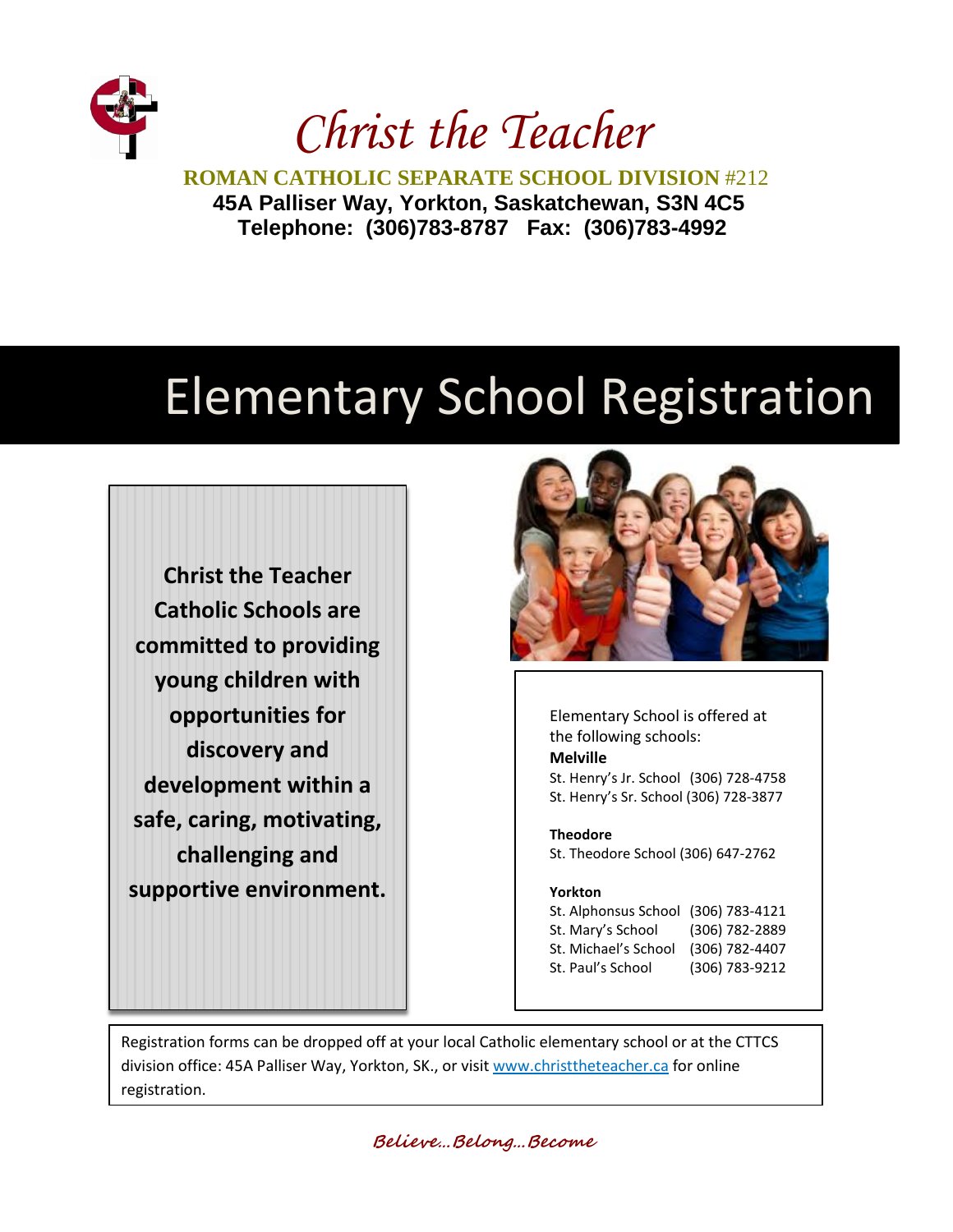

*Christ the Teacher.*

**ROMAN CATHOLIC SEPARATE SCHOOL DIVISION** #212 **45A Palliser Way, Yorkton, Saskatchewan, S3N 4C5 Telephone: (306)783-8787 Fax: (306)783-4992**

## Elementary School Registration

**Christ the Teacher Catholic Schools are committed to providing young children with opportunities for discovery and development within a safe, caring, motivating, challenging and supportive environment.**



Elementary School is offered at the following schools: **Melville** St. Henry's Jr. School (306) 728-4758 St. Henry's Sr. School (306) 728-3877

## **Theodore**

St. Theodore School (306) 647-2762

## **Yorkton**

St. Alphonsus School (306) 783-4121 St. Mary's School (306) 782-2889 St. Michael's School (306) 782-4407 St. Paul's School (306) 783-9212

Registration forms can be dropped off at your local Catholic elementary school or at the CTTCS division office: 45A Palliser Way, Yorkton, SK., or visit [www.christtheteacher.ca](http://www.christtheteacher.ca/) for online registration.

**Believe…Belong…Become**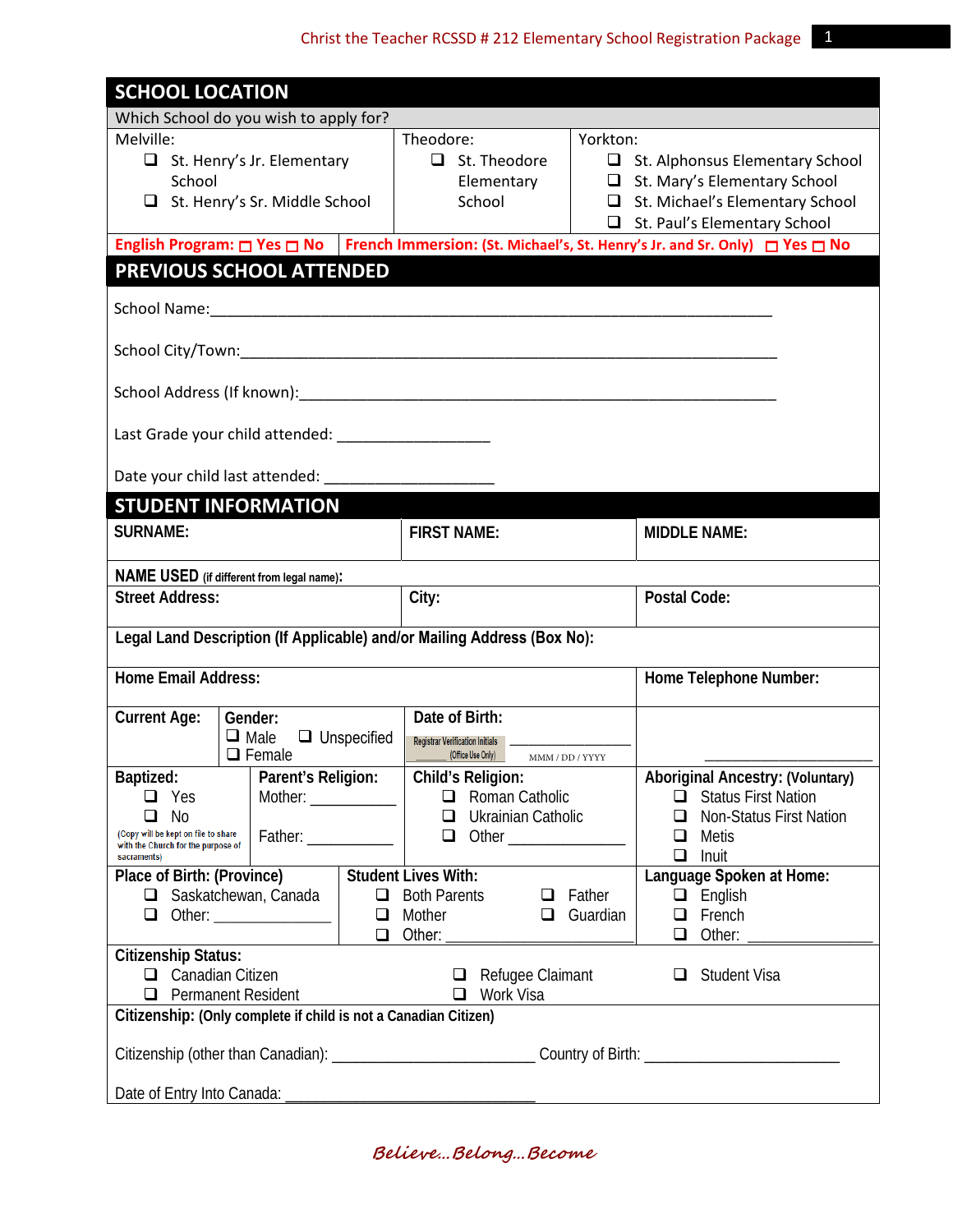| <b>SCHOOL LOCATION</b>                                                                                   |                    |                                                                                                                |                 |                        |                                            |  |  |  |  |
|----------------------------------------------------------------------------------------------------------|--------------------|----------------------------------------------------------------------------------------------------------------|-----------------|------------------------|--------------------------------------------|--|--|--|--|
| Which School do you wish to apply for?                                                                   |                    |                                                                                                                |                 |                        |                                            |  |  |  |  |
| Melville:                                                                                                |                    | Yorkton:<br>Theodore:                                                                                          |                 |                        |                                            |  |  |  |  |
| $\Box$ St. Henry's Jr. Elementary                                                                        |                    | $\Box$ St. Theodore                                                                                            |                 |                        | $\Box$ St. Alphonsus Elementary School     |  |  |  |  |
| School                                                                                                   |                    | Elementary                                                                                                     |                 |                        | $\Box$ St. Mary's Elementary School        |  |  |  |  |
| $\Box$ St. Henry's Sr. Middle School                                                                     |                    | School                                                                                                         |                 |                        | St. Michael's Elementary School            |  |  |  |  |
|                                                                                                          |                    |                                                                                                                |                 |                        | St. Paul's Elementary School               |  |  |  |  |
| English Program: □ Yes □ No   French Immersion: (St. Michael's, St. Henry's Jr. and Sr. Only) □ Yes □ No |                    |                                                                                                                |                 |                        |                                            |  |  |  |  |
| PREVIOUS SCHOOL ATTENDED                                                                                 |                    |                                                                                                                |                 |                        |                                            |  |  |  |  |
|                                                                                                          |                    |                                                                                                                |                 |                        |                                            |  |  |  |  |
|                                                                                                          |                    |                                                                                                                |                 |                        |                                            |  |  |  |  |
|                                                                                                          |                    |                                                                                                                |                 |                        |                                            |  |  |  |  |
| Last Grade your child attended: _____________________                                                    |                    |                                                                                                                |                 |                        |                                            |  |  |  |  |
| Date your child last attended: ______________________                                                    |                    |                                                                                                                |                 |                        |                                            |  |  |  |  |
| <b>STUDENT INFORMATION</b>                                                                               |                    |                                                                                                                |                 |                        |                                            |  |  |  |  |
| <b>SURNAME:</b>                                                                                          |                    | <b>FIRST NAME:</b>                                                                                             |                 |                        | <b>MIDDLE NAME:</b>                        |  |  |  |  |
| <b>NAME USED</b> (if different from legal name):                                                         |                    |                                                                                                                |                 |                        |                                            |  |  |  |  |
| <b>Street Address:</b>                                                                                   |                    | City:                                                                                                          |                 |                        | Postal Code:                               |  |  |  |  |
| Legal Land Description (If Applicable) and/or Mailing Address (Box No):                                  |                    |                                                                                                                |                 |                        |                                            |  |  |  |  |
| <b>Home Email Address:</b>                                                                               |                    |                                                                                                                |                 | Home Telephone Number: |                                            |  |  |  |  |
| <b>Current Age:</b><br>Gender:                                                                           |                    | Date of Birth:                                                                                                 |                 |                        |                                            |  |  |  |  |
| $\Box$ Male                                                                                              | $\Box$ Unspecified | <b>Registrar Verification Initials</b>                                                                         |                 |                        |                                            |  |  |  |  |
| $\Box$ Female                                                                                            |                    | (Office Use Only)                                                                                              | MMM / DD / YYYY |                        |                                            |  |  |  |  |
| Parent's Religion:<br>Baptized:                                                                          |                    | Child's Religion:                                                                                              |                 |                        | <b>Aboriginal Ancestry: (Voluntary)</b>    |  |  |  |  |
| $\Box$ Yes                                                                                               |                    | $\Box$ Roman Catholic                                                                                          |                 |                        | $\Box$ Status First Nation                 |  |  |  |  |
| No<br>$\Box$                                                                                             |                    | Ukrainian Catholic<br>$\Box$                                                                                   |                 |                        | <b>Non-Status First Nation</b><br>□        |  |  |  |  |
| (Copy will be kept on file to share<br>with the Church for the purpose of                                |                    | $\Box$ Other                                                                                                   |                 |                        | $\Box$ Metis                               |  |  |  |  |
| sacraments)                                                                                              |                    |                                                                                                                |                 |                        | Inuit<br>Q                                 |  |  |  |  |
| Place of Birth: (Province)   Student Lives With:                                                         |                    |                                                                                                                |                 |                        | Language Spoken at Home:                   |  |  |  |  |
| $\Box$ Saskatchewan, Canada                                                                              |                    | $\Box$ Both Parents $\Box$ Father                                                                              |                 |                        | $\Box$ English                             |  |  |  |  |
|                                                                                                          |                    | $\Box$ Mother $\Box$ Guardian                                                                                  |                 |                        | $\Box$ French                              |  |  |  |  |
|                                                                                                          |                    |                                                                                                                |                 |                        | $\Box$ Other: $\_\_\_\_\_\_\_\_\_\_\_\_\_$ |  |  |  |  |
| <b>Citizenship Status:</b><br>$\Box$ Canadian Citizen<br>$\Box$ Refugee Claimant<br>$\Box$ Student Visa  |                    |                                                                                                                |                 |                        |                                            |  |  |  |  |
| $\Box$ Permanent Resident<br>□ Work Visa                                                                 |                    |                                                                                                                |                 |                        |                                            |  |  |  |  |
| Citizenship: (Only complete if child is not a Canadian Citizen)                                          |                    |                                                                                                                |                 |                        |                                            |  |  |  |  |
|                                                                                                          |                    | Citizenship (other than Canadian): ________________________________Country of Birth: _________________________ |                 |                        |                                            |  |  |  |  |
|                                                                                                          |                    |                                                                                                                |                 |                        |                                            |  |  |  |  |

**Believe…Belong…Become**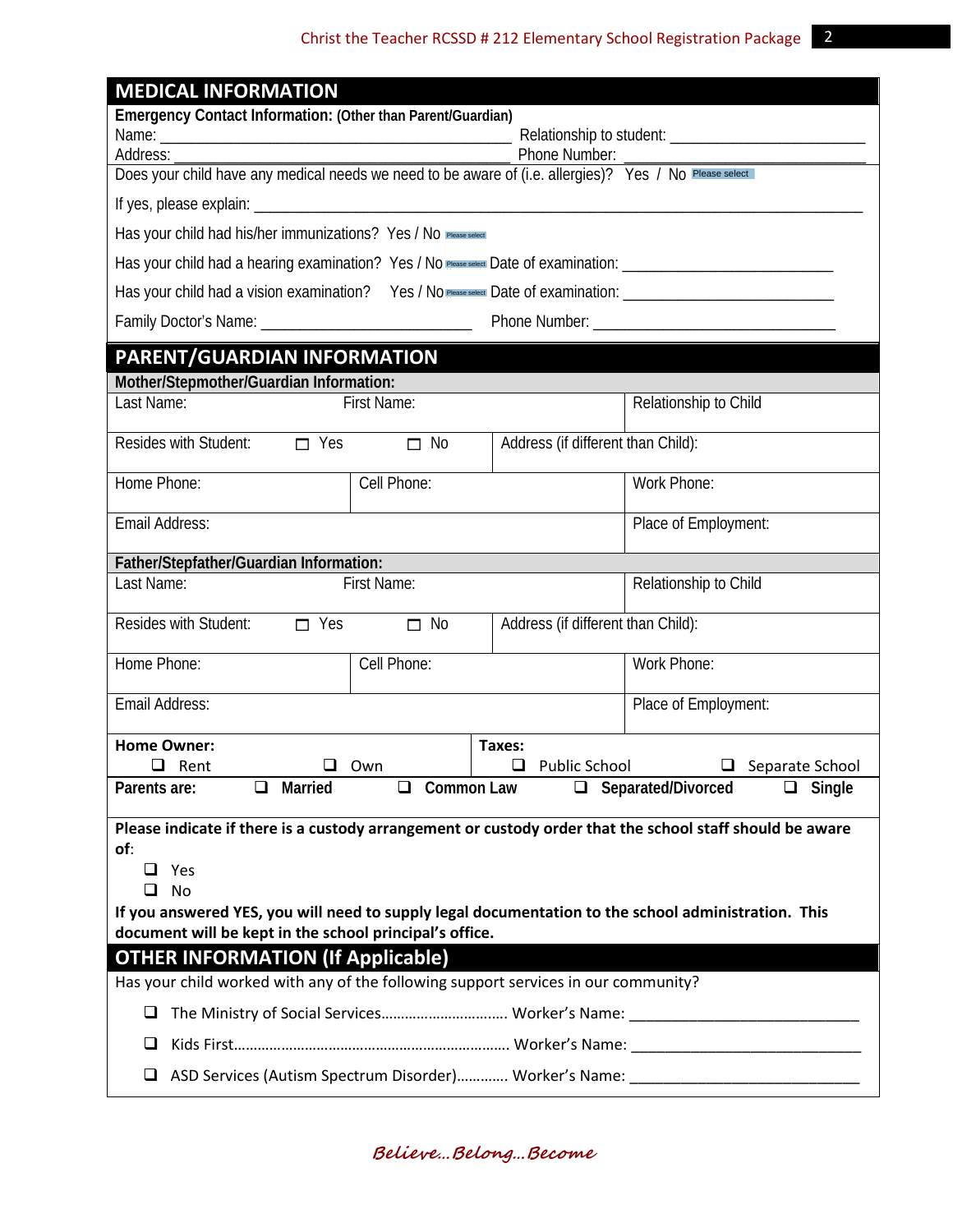| <b>MEDICAL INFORMATION</b>                                                                                             |                             |                                    |                                                                                        |  |  |  |  |
|------------------------------------------------------------------------------------------------------------------------|-----------------------------|------------------------------------|----------------------------------------------------------------------------------------|--|--|--|--|
| Emergency Contact Information: (Other than Parent/Guardian)                                                            |                             |                                    |                                                                                        |  |  |  |  |
|                                                                                                                        |                             |                                    |                                                                                        |  |  |  |  |
|                                                                                                                        |                             |                                    |                                                                                        |  |  |  |  |
|                                                                                                                        |                             |                                    |                                                                                        |  |  |  |  |
| Has your child had his/her immunizations? Yes / No Please select                                                       |                             |                                    |                                                                                        |  |  |  |  |
|                                                                                                                        |                             |                                    |                                                                                        |  |  |  |  |
| Has your child had a vision examination? Yes / No Please select Date of examination: _________________________________ |                             |                                    |                                                                                        |  |  |  |  |
|                                                                                                                        |                             |                                    |                                                                                        |  |  |  |  |
| PARENT/GUARDIAN INFORMATION                                                                                            |                             |                                    |                                                                                        |  |  |  |  |
| Mother/Stepmother/Guardian Information:<br>Last Name:                                                                  | <b>First Name:</b>          |                                    | Relationship to Child                                                                  |  |  |  |  |
|                                                                                                                        |                             |                                    |                                                                                        |  |  |  |  |
| Resides with Student: $\Box$ Yes                                                                                       | $\square$ No                | Address (if different than Child): |                                                                                        |  |  |  |  |
| Home Phone:                                                                                                            | Cell Phone:                 |                                    | Work Phone:                                                                            |  |  |  |  |
| Email Address:                                                                                                         |                             |                                    | Place of Employment:                                                                   |  |  |  |  |
| Father/Stepfather/Guardian Information:                                                                                |                             |                                    |                                                                                        |  |  |  |  |
| Last Name:<br><b>First Name:</b>                                                                                       | Relationship to Child       |                                    |                                                                                        |  |  |  |  |
| Resides with Student:<br>$\Box$ Yes                                                                                    | $\Box$ No                   | Address (if different than Child): |                                                                                        |  |  |  |  |
| Home Phone:                                                                                                            | Cell Phone:                 |                                    | Work Phone:                                                                            |  |  |  |  |
| Email Address:                                                                                                         |                             |                                    | Place of Employment:                                                                   |  |  |  |  |
| <b>Home Owner:</b>                                                                                                     |                             | Taxes:                             |                                                                                        |  |  |  |  |
| $\Box$ Rent<br>ப                                                                                                       | Own                         | Public School<br>ப                 | Separate School                                                                        |  |  |  |  |
| Parents are:<br>Married<br>$\Box$                                                                                      | <b>Common Law</b><br>$\Box$ |                                    | □ Separated/Divorced<br>$\Box$ Single                                                  |  |  |  |  |
| Please indicate if there is a custody arrangement or custody order that the school staff should be aware               |                             |                                    |                                                                                        |  |  |  |  |
| of:                                                                                                                    |                             |                                    |                                                                                        |  |  |  |  |
| $\Box$ Yes                                                                                                             |                             |                                    |                                                                                        |  |  |  |  |
| <b>No</b><br>⊔<br>If you answered YES, you will need to supply legal documentation to the school administration. This  |                             |                                    |                                                                                        |  |  |  |  |
| document will be kept in the school principal's office.                                                                |                             |                                    |                                                                                        |  |  |  |  |
| <b>OTHER INFORMATION (If Applicable)</b>                                                                               |                             |                                    |                                                                                        |  |  |  |  |
| Has your child worked with any of the following support services in our community?                                     |                             |                                    |                                                                                        |  |  |  |  |
| The Ministry of Social Services Worker's Name:<br>⊔                                                                    |                             |                                    |                                                                                        |  |  |  |  |
| ⊔                                                                                                                      |                             |                                    |                                                                                        |  |  |  |  |
| u                                                                                                                      |                             |                                    | ASD Services (Autism Spectrum Disorder) Worker's Name: _______________________________ |  |  |  |  |

**Believe…Belong…Become**